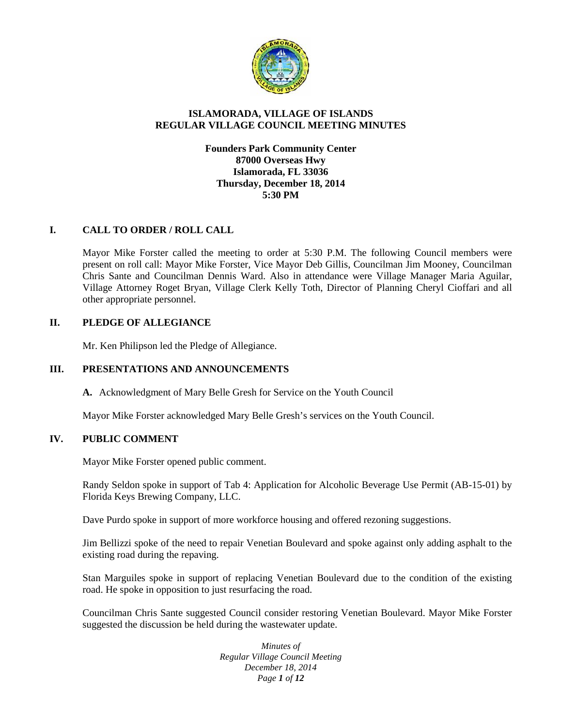

## **ISLAMORADA, VILLAGE OF ISLANDS REGULAR VILLAGE COUNCIL MEETING MINUTES**

**Founders Park Community Center 87000 Overseas Hwy Islamorada, FL 33036 Thursday, December 18, 2014 5:30 PM**

## **I. CALL TO ORDER / ROLL CALL**

Mayor Mike Forster called the meeting to order at 5:30 P.M. The following Council members were present on roll call: Mayor Mike Forster, Vice Mayor Deb Gillis, Councilman Jim Mooney, Councilman Chris Sante and Councilman Dennis Ward. Also in attendance were Village Manager Maria Aguilar, Village Attorney Roget Bryan, Village Clerk Kelly Toth, Director of Planning Cheryl Cioffari and all other appropriate personnel.

### **II. PLEDGE OF ALLEGIANCE**

Mr. Ken Philipson led the Pledge of Allegiance.

## **III. PRESENTATIONS AND ANNOUNCEMENTS**

**A.** Acknowledgment of Mary Belle Gresh for Service on the Youth Council

Mayor Mike Forster acknowledged Mary Belle Gresh's services on the Youth Council.

#### **IV. PUBLIC COMMENT**

Mayor Mike Forster opened public comment.

Randy Seldon spoke in support of Tab 4: Application for Alcoholic Beverage Use Permit (AB-15-01) by Florida Keys Brewing Company, LLC.

Dave Purdo spoke in support of more workforce housing and offered rezoning suggestions.

Jim Bellizzi spoke of the need to repair Venetian Boulevard and spoke against only adding asphalt to the existing road during the repaving.

Stan Marguiles spoke in support of replacing Venetian Boulevard due to the condition of the existing road. He spoke in opposition to just resurfacing the road.

Councilman Chris Sante suggested Council consider restoring Venetian Boulevard. Mayor Mike Forster suggested the discussion be held during the wastewater update.

> *Minutes of Regular Village Council Meeting December 18, 2014 Page 1 of 12*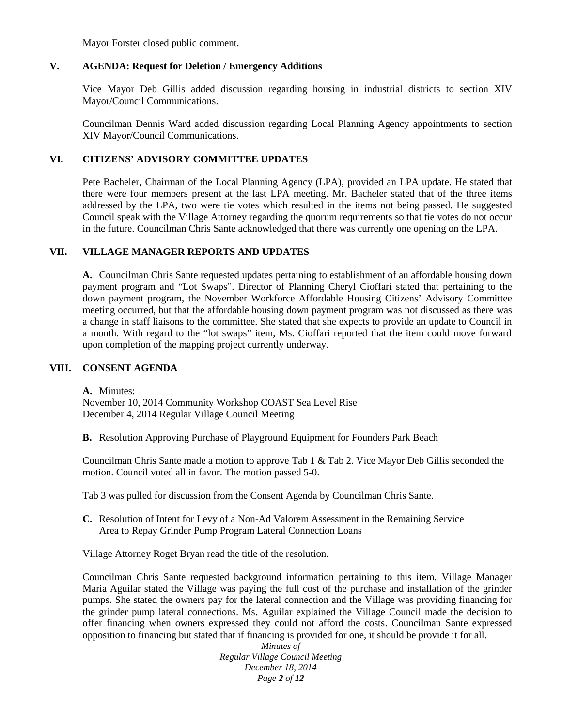Mayor Forster closed public comment.

#### **V. AGENDA: Request for Deletion / Emergency Additions**

Vice Mayor Deb Gillis added discussion regarding housing in industrial districts to section XIV Mayor/Council Communications.

Councilman Dennis Ward added discussion regarding Local Planning Agency appointments to section XIV Mayor/Council Communications.

#### **VI. CITIZENS' ADVISORY COMMITTEE UPDATES**

Pete Bacheler, Chairman of the Local Planning Agency (LPA), provided an LPA update. He stated that there were four members present at the last LPA meeting. Mr. Bacheler stated that of the three items addressed by the LPA, two were tie votes which resulted in the items not being passed. He suggested Council speak with the Village Attorney regarding the quorum requirements so that tie votes do not occur in the future. Councilman Chris Sante acknowledged that there was currently one opening on the LPA.

### **VII. VILLAGE MANAGER REPORTS AND UPDATES**

**A.** Councilman Chris Sante requested updates pertaining to establishment of an affordable housing down payment program and "Lot Swaps". Director of Planning Cheryl Cioffari stated that pertaining to the down payment program, the November Workforce Affordable Housing Citizens' Advisory Committee meeting occurred, but that the affordable housing down payment program was not discussed as there was a change in staff liaisons to the committee. She stated that she expects to provide an update to Council in a month. With regard to the "lot swaps" item, Ms. Cioffari reported that the item could move forward upon completion of the mapping project currently underway.

### **VIII. CONSENT AGENDA**

**A.** Minutes: November 10, 2014 Community Workshop COAST Sea Level Rise December 4, 2014 Regular Village Council Meeting

**B.** Resolution Approving Purchase of Playground Equipment for Founders Park Beach

Councilman Chris Sante made a motion to approve Tab 1 & Tab 2. Vice Mayor Deb Gillis seconded the motion. Council voted all in favor. The motion passed 5-0.

Tab 3 was pulled for discussion from the Consent Agenda by Councilman Chris Sante.

**C.** Resolution of Intent for Levy of a Non-Ad Valorem Assessment in the Remaining Service Area to Repay Grinder Pump Program Lateral Connection Loans

Village Attorney Roget Bryan read the title of the resolution.

Councilman Chris Sante requested background information pertaining to this item. Village Manager Maria Aguilar stated the Village was paying the full cost of the purchase and installation of the grinder pumps. She stated the owners pay for the lateral connection and the Village was providing financing for the grinder pump lateral connections. Ms. Aguilar explained the Village Council made the decision to offer financing when owners expressed they could not afford the costs. Councilman Sante expressed opposition to financing but stated that if financing is provided for one, it should be provide it for all.

*Minutes of Regular Village Council Meeting December 18, 2014 Page 2 of 12*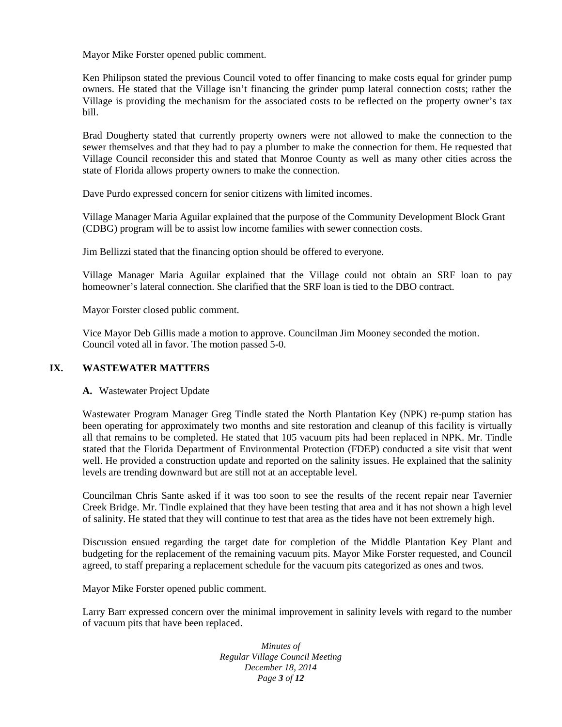Mayor Mike Forster opened public comment.

Ken Philipson stated the previous Council voted to offer financing to make costs equal for grinder pump owners. He stated that the Village isn't financing the grinder pump lateral connection costs; rather the Village is providing the mechanism for the associated costs to be reflected on the property owner's tax bill.

Brad Dougherty stated that currently property owners were not allowed to make the connection to the sewer themselves and that they had to pay a plumber to make the connection for them. He requested that Village Council reconsider this and stated that Monroe County as well as many other cities across the state of Florida allows property owners to make the connection.

Dave Purdo expressed concern for senior citizens with limited incomes.

Village Manager Maria Aguilar explained that the purpose of the Community Development Block Grant (CDBG) program will be to assist low income families with sewer connection costs.

Jim Bellizzi stated that the financing option should be offered to everyone.

Village Manager Maria Aguilar explained that the Village could not obtain an SRF loan to pay homeowner's lateral connection. She clarified that the SRF loan is tied to the DBO contract.

Mayor Forster closed public comment.

Vice Mayor Deb Gillis made a motion to approve. Councilman Jim Mooney seconded the motion. Council voted all in favor. The motion passed 5-0.

### **IX. WASTEWATER MATTERS**

**A.** Wastewater Project Update

Wastewater Program Manager Greg Tindle stated the North Plantation Key (NPK) re-pump station has been operating for approximately two months and site restoration and cleanup of this facility is virtually all that remains to be completed. He stated that 105 vacuum pits had been replaced in NPK. Mr. Tindle stated that the Florida Department of Environmental Protection (FDEP) conducted a site visit that went well. He provided a construction update and reported on the salinity issues. He explained that the salinity levels are trending downward but are still not at an acceptable level.

Councilman Chris Sante asked if it was too soon to see the results of the recent repair near Tavernier Creek Bridge. Mr. Tindle explained that they have been testing that area and it has not shown a high level of salinity. He stated that they will continue to test that area as the tides have not been extremely high.

Discussion ensued regarding the target date for completion of the Middle Plantation Key Plant and budgeting for the replacement of the remaining vacuum pits. Mayor Mike Forster requested, and Council agreed, to staff preparing a replacement schedule for the vacuum pits categorized as ones and twos.

Mayor Mike Forster opened public comment.

Larry Barr expressed concern over the minimal improvement in salinity levels with regard to the number of vacuum pits that have been replaced.

> *Minutes of Regular Village Council Meeting December 18, 2014 Page 3 of 12*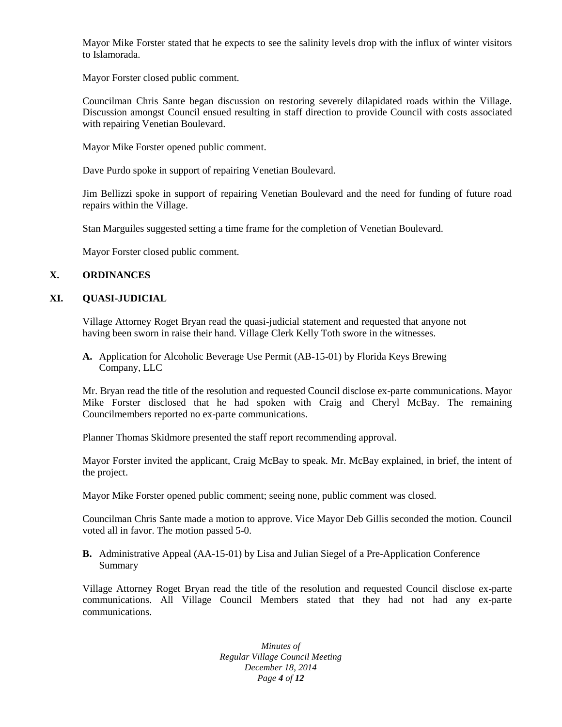Mayor Mike Forster stated that he expects to see the salinity levels drop with the influx of winter visitors to Islamorada.

Mayor Forster closed public comment.

Councilman Chris Sante began discussion on restoring severely dilapidated roads within the Village. Discussion amongst Council ensued resulting in staff direction to provide Council with costs associated with repairing Venetian Boulevard.

Mayor Mike Forster opened public comment.

Dave Purdo spoke in support of repairing Venetian Boulevard.

Jim Bellizzi spoke in support of repairing Venetian Boulevard and the need for funding of future road repairs within the Village.

Stan Marguiles suggested setting a time frame for the completion of Venetian Boulevard.

Mayor Forster closed public comment.

## **X. ORDINANCES**

### **XI. QUASI-JUDICIAL**

Village Attorney Roget Bryan read the quasi-judicial statement and requested that anyone not having been sworn in raise their hand. Village Clerk Kelly Toth swore in the witnesses.

**A.** Application for Alcoholic Beverage Use Permit (AB-15-01) by Florida Keys Brewing Company, LLC

Mr. Bryan read the title of the resolution and requested Council disclose ex-parte communications. Mayor Mike Forster disclosed that he had spoken with Craig and Cheryl McBay. The remaining Councilmembers reported no ex-parte communications.

Planner Thomas Skidmore presented the staff report recommending approval.

Mayor Forster invited the applicant, Craig McBay to speak. Mr. McBay explained, in brief, the intent of the project.

Mayor Mike Forster opened public comment; seeing none, public comment was closed.

Councilman Chris Sante made a motion to approve. Vice Mayor Deb Gillis seconded the motion. Council voted all in favor. The motion passed 5-0.

**B.** Administrative Appeal (AA-15-01) by Lisa and Julian Siegel of a Pre-Application Conference Summary

Village Attorney Roget Bryan read the title of the resolution and requested Council disclose ex-parte communications. All Village Council Members stated that they had not had any ex-parte communications.

> *Minutes of Regular Village Council Meeting December 18, 2014 Page 4 of 12*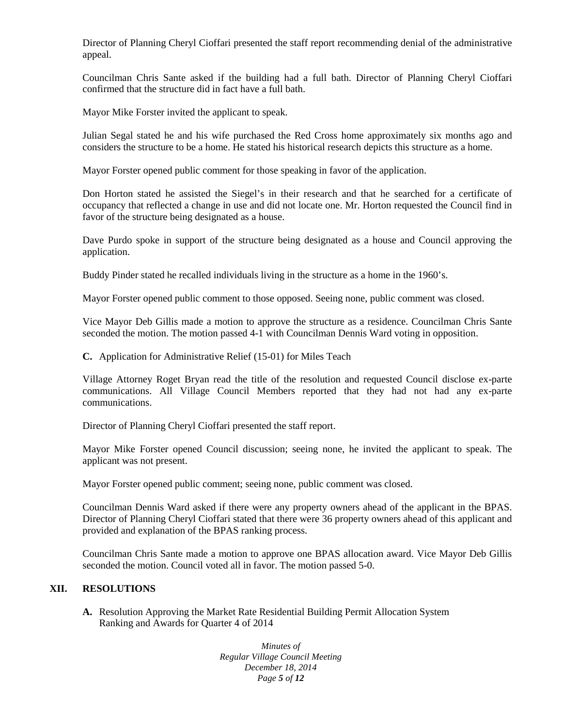Director of Planning Cheryl Cioffari presented the staff report recommending denial of the administrative appeal.

Councilman Chris Sante asked if the building had a full bath. Director of Planning Cheryl Cioffari confirmed that the structure did in fact have a full bath.

Mayor Mike Forster invited the applicant to speak.

Julian Segal stated he and his wife purchased the Red Cross home approximately six months ago and considers the structure to be a home. He stated his historical research depicts this structure as a home.

Mayor Forster opened public comment for those speaking in favor of the application.

Don Horton stated he assisted the Siegel's in their research and that he searched for a certificate of occupancy that reflected a change in use and did not locate one. Mr. Horton requested the Council find in favor of the structure being designated as a house.

Dave Purdo spoke in support of the structure being designated as a house and Council approving the application.

Buddy Pinder stated he recalled individuals living in the structure as a home in the 1960's.

Mayor Forster opened public comment to those opposed. Seeing none, public comment was closed.

Vice Mayor Deb Gillis made a motion to approve the structure as a residence. Councilman Chris Sante seconded the motion. The motion passed 4-1 with Councilman Dennis Ward voting in opposition.

**C.** Application for Administrative Relief (15-01) for Miles Teach

Village Attorney Roget Bryan read the title of the resolution and requested Council disclose ex-parte communications. All Village Council Members reported that they had not had any ex-parte communications.

Director of Planning Cheryl Cioffari presented the staff report.

Mayor Mike Forster opened Council discussion; seeing none, he invited the applicant to speak. The applicant was not present.

Mayor Forster opened public comment; seeing none, public comment was closed.

Councilman Dennis Ward asked if there were any property owners ahead of the applicant in the BPAS. Director of Planning Cheryl Cioffari stated that there were 36 property owners ahead of this applicant and provided and explanation of the BPAS ranking process.

Councilman Chris Sante made a motion to approve one BPAS allocation award. Vice Mayor Deb Gillis seconded the motion. Council voted all in favor. The motion passed 5-0.

#### **XII. RESOLUTIONS**

**A.** Resolution Approving the Market Rate Residential Building Permit Allocation System Ranking and Awards for Quarter 4 of 2014

> *Minutes of Regular Village Council Meeting December 18, 2014 Page 5 of 12*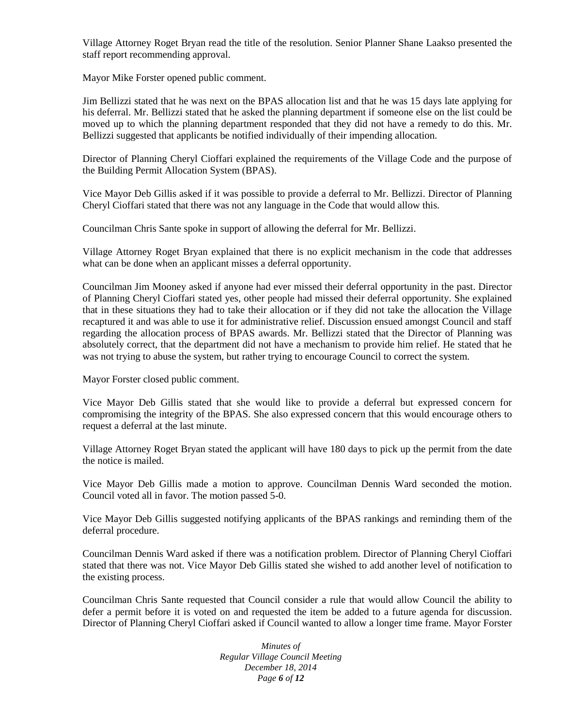Village Attorney Roget Bryan read the title of the resolution. Senior Planner Shane Laakso presented the staff report recommending approval.

Mayor Mike Forster opened public comment.

Jim Bellizzi stated that he was next on the BPAS allocation list and that he was 15 days late applying for his deferral. Mr. Bellizzi stated that he asked the planning department if someone else on the list could be moved up to which the planning department responded that they did not have a remedy to do this. Mr. Bellizzi suggested that applicants be notified individually of their impending allocation.

Director of Planning Cheryl Cioffari explained the requirements of the Village Code and the purpose of the Building Permit Allocation System (BPAS).

Vice Mayor Deb Gillis asked if it was possible to provide a deferral to Mr. Bellizzi. Director of Planning Cheryl Cioffari stated that there was not any language in the Code that would allow this.

Councilman Chris Sante spoke in support of allowing the deferral for Mr. Bellizzi.

Village Attorney Roget Bryan explained that there is no explicit mechanism in the code that addresses what can be done when an applicant misses a deferral opportunity.

Councilman Jim Mooney asked if anyone had ever missed their deferral opportunity in the past. Director of Planning Cheryl Cioffari stated yes, other people had missed their deferral opportunity. She explained that in these situations they had to take their allocation or if they did not take the allocation the Village recaptured it and was able to use it for administrative relief. Discussion ensued amongst Council and staff regarding the allocation process of BPAS awards. Mr. Bellizzi stated that the Director of Planning was absolutely correct, that the department did not have a mechanism to provide him relief. He stated that he was not trying to abuse the system, but rather trying to encourage Council to correct the system.

Mayor Forster closed public comment.

Vice Mayor Deb Gillis stated that she would like to provide a deferral but expressed concern for compromising the integrity of the BPAS. She also expressed concern that this would encourage others to request a deferral at the last minute.

Village Attorney Roget Bryan stated the applicant will have 180 days to pick up the permit from the date the notice is mailed.

Vice Mayor Deb Gillis made a motion to approve. Councilman Dennis Ward seconded the motion. Council voted all in favor. The motion passed 5-0.

Vice Mayor Deb Gillis suggested notifying applicants of the BPAS rankings and reminding them of the deferral procedure.

Councilman Dennis Ward asked if there was a notification problem. Director of Planning Cheryl Cioffari stated that there was not. Vice Mayor Deb Gillis stated she wished to add another level of notification to the existing process.

Councilman Chris Sante requested that Council consider a rule that would allow Council the ability to defer a permit before it is voted on and requested the item be added to a future agenda for discussion. Director of Planning Cheryl Cioffari asked if Council wanted to allow a longer time frame. Mayor Forster

> *Minutes of Regular Village Council Meeting December 18, 2014 Page 6 of 12*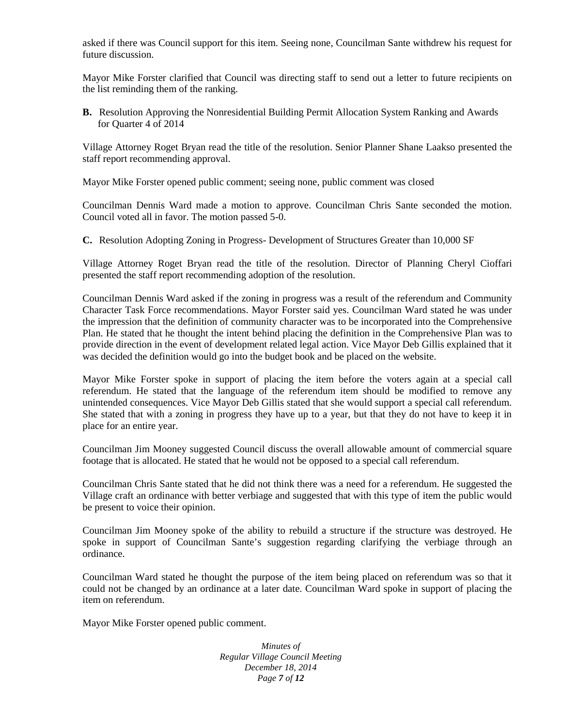asked if there was Council support for this item. Seeing none, Councilman Sante withdrew his request for future discussion.

Mayor Mike Forster clarified that Council was directing staff to send out a letter to future recipients on the list reminding them of the ranking.

**B.** Resolution Approving the Nonresidential Building Permit Allocation System Ranking and Awards for Quarter 4 of 2014

Village Attorney Roget Bryan read the title of the resolution. Senior Planner Shane Laakso presented the staff report recommending approval.

Mayor Mike Forster opened public comment; seeing none, public comment was closed

Councilman Dennis Ward made a motion to approve. Councilman Chris Sante seconded the motion. Council voted all in favor. The motion passed 5-0.

**C.** Resolution Adopting Zoning in Progress- Development of Structures Greater than 10,000 SF

Village Attorney Roget Bryan read the title of the resolution. Director of Planning Cheryl Cioffari presented the staff report recommending adoption of the resolution.

Councilman Dennis Ward asked if the zoning in progress was a result of the referendum and Community Character Task Force recommendations. Mayor Forster said yes. Councilman Ward stated he was under the impression that the definition of community character was to be incorporated into the Comprehensive Plan. He stated that he thought the intent behind placing the definition in the Comprehensive Plan was to provide direction in the event of development related legal action. Vice Mayor Deb Gillis explained that it was decided the definition would go into the budget book and be placed on the website.

Mayor Mike Forster spoke in support of placing the item before the voters again at a special call referendum. He stated that the language of the referendum item should be modified to remove any unintended consequences. Vice Mayor Deb Gillis stated that she would support a special call referendum. She stated that with a zoning in progress they have up to a year, but that they do not have to keep it in place for an entire year.

Councilman Jim Mooney suggested Council discuss the overall allowable amount of commercial square footage that is allocated. He stated that he would not be opposed to a special call referendum.

Councilman Chris Sante stated that he did not think there was a need for a referendum. He suggested the Village craft an ordinance with better verbiage and suggested that with this type of item the public would be present to voice their opinion.

Councilman Jim Mooney spoke of the ability to rebuild a structure if the structure was destroyed. He spoke in support of Councilman Sante's suggestion regarding clarifying the verbiage through an ordinance.

Councilman Ward stated he thought the purpose of the item being placed on referendum was so that it could not be changed by an ordinance at a later date. Councilman Ward spoke in support of placing the item on referendum.

Mayor Mike Forster opened public comment.

*Minutes of Regular Village Council Meeting December 18, 2014 Page 7 of 12*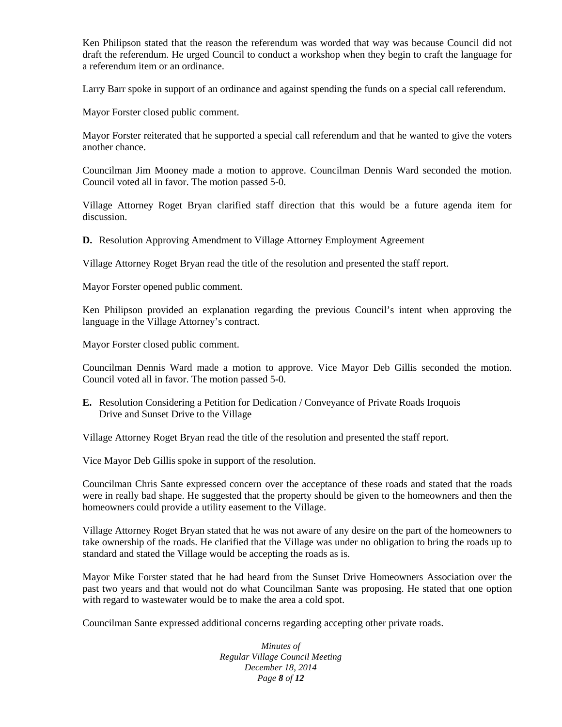Ken Philipson stated that the reason the referendum was worded that way was because Council did not draft the referendum. He urged Council to conduct a workshop when they begin to craft the language for a referendum item or an ordinance.

Larry Barr spoke in support of an ordinance and against spending the funds on a special call referendum.

Mayor Forster closed public comment.

Mayor Forster reiterated that he supported a special call referendum and that he wanted to give the voters another chance.

Councilman Jim Mooney made a motion to approve. Councilman Dennis Ward seconded the motion. Council voted all in favor. The motion passed 5-0.

Village Attorney Roget Bryan clarified staff direction that this would be a future agenda item for discussion.

**D.** Resolution Approving Amendment to Village Attorney Employment Agreement

Village Attorney Roget Bryan read the title of the resolution and presented the staff report.

Mayor Forster opened public comment.

Ken Philipson provided an explanation regarding the previous Council's intent when approving the language in the Village Attorney's contract.

Mayor Forster closed public comment.

Councilman Dennis Ward made a motion to approve. Vice Mayor Deb Gillis seconded the motion. Council voted all in favor. The motion passed 5-0.

**E.** Resolution Considering a Petition for Dedication / Conveyance of Private Roads Iroquois Drive and Sunset Drive to the Village

Village Attorney Roget Bryan read the title of the resolution and presented the staff report.

Vice Mayor Deb Gillis spoke in support of the resolution.

Councilman Chris Sante expressed concern over the acceptance of these roads and stated that the roads were in really bad shape. He suggested that the property should be given to the homeowners and then the homeowners could provide a utility easement to the Village.

Village Attorney Roget Bryan stated that he was not aware of any desire on the part of the homeowners to take ownership of the roads. He clarified that the Village was under no obligation to bring the roads up to standard and stated the Village would be accepting the roads as is.

Mayor Mike Forster stated that he had heard from the Sunset Drive Homeowners Association over the past two years and that would not do what Councilman Sante was proposing. He stated that one option with regard to wastewater would be to make the area a cold spot.

Councilman Sante expressed additional concerns regarding accepting other private roads.

*Minutes of Regular Village Council Meeting December 18, 2014 Page 8 of 12*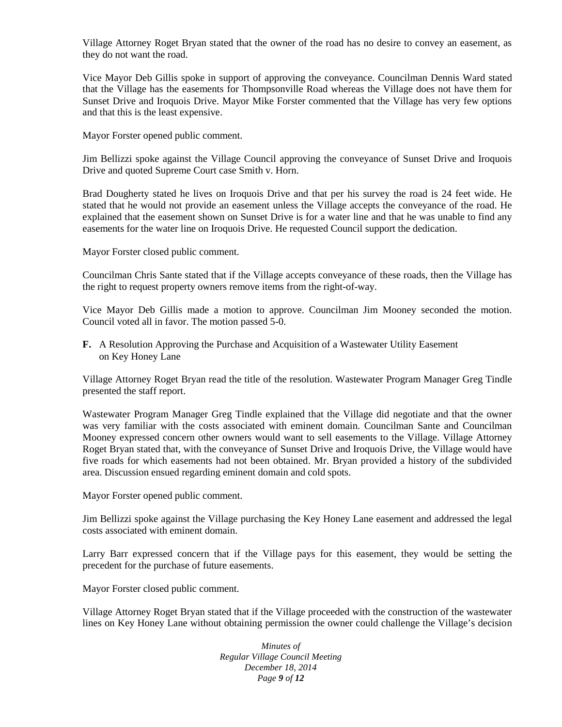Village Attorney Roget Bryan stated that the owner of the road has no desire to convey an easement, as they do not want the road.

Vice Mayor Deb Gillis spoke in support of approving the conveyance. Councilman Dennis Ward stated that the Village has the easements for Thompsonville Road whereas the Village does not have them for Sunset Drive and Iroquois Drive. Mayor Mike Forster commented that the Village has very few options and that this is the least expensive.

Mayor Forster opened public comment.

Jim Bellizzi spoke against the Village Council approving the conveyance of Sunset Drive and Iroquois Drive and quoted Supreme Court case Smith v. Horn.

Brad Dougherty stated he lives on Iroquois Drive and that per his survey the road is 24 feet wide. He stated that he would not provide an easement unless the Village accepts the conveyance of the road. He explained that the easement shown on Sunset Drive is for a water line and that he was unable to find any easements for the water line on Iroquois Drive. He requested Council support the dedication.

Mayor Forster closed public comment.

Councilman Chris Sante stated that if the Village accepts conveyance of these roads, then the Village has the right to request property owners remove items from the right-of-way.

Vice Mayor Deb Gillis made a motion to approve. Councilman Jim Mooney seconded the motion. Council voted all in favor. The motion passed 5-0.

**F.** A Resolution Approving the Purchase and Acquisition of a Wastewater Utility Easement on Key Honey Lane

Village Attorney Roget Bryan read the title of the resolution. Wastewater Program Manager Greg Tindle presented the staff report.

Wastewater Program Manager Greg Tindle explained that the Village did negotiate and that the owner was very familiar with the costs associated with eminent domain. Councilman Sante and Councilman Mooney expressed concern other owners would want to sell easements to the Village. Village Attorney Roget Bryan stated that, with the conveyance of Sunset Drive and Iroquois Drive, the Village would have five roads for which easements had not been obtained. Mr. Bryan provided a history of the subdivided area. Discussion ensued regarding eminent domain and cold spots.

Mayor Forster opened public comment.

Jim Bellizzi spoke against the Village purchasing the Key Honey Lane easement and addressed the legal costs associated with eminent domain.

Larry Barr expressed concern that if the Village pays for this easement, they would be setting the precedent for the purchase of future easements.

Mayor Forster closed public comment.

Village Attorney Roget Bryan stated that if the Village proceeded with the construction of the wastewater lines on Key Honey Lane without obtaining permission the owner could challenge the Village's decision

> *Minutes of Regular Village Council Meeting December 18, 2014 Page 9 of 12*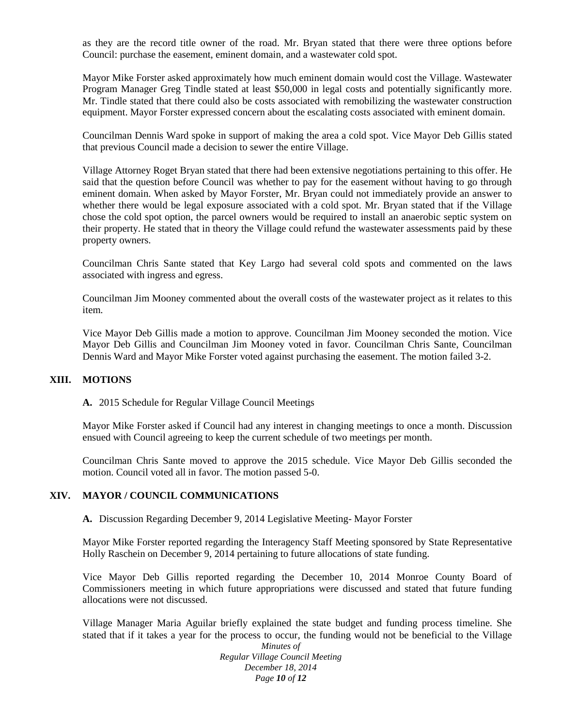as they are the record title owner of the road. Mr. Bryan stated that there were three options before Council: purchase the easement, eminent domain, and a wastewater cold spot.

Mayor Mike Forster asked approximately how much eminent domain would cost the Village. Wastewater Program Manager Greg Tindle stated at least \$50,000 in legal costs and potentially significantly more. Mr. Tindle stated that there could also be costs associated with remobilizing the wastewater construction equipment. Mayor Forster expressed concern about the escalating costs associated with eminent domain.

Councilman Dennis Ward spoke in support of making the area a cold spot. Vice Mayor Deb Gillis stated that previous Council made a decision to sewer the entire Village.

Village Attorney Roget Bryan stated that there had been extensive negotiations pertaining to this offer. He said that the question before Council was whether to pay for the easement without having to go through eminent domain. When asked by Mayor Forster, Mr. Bryan could not immediately provide an answer to whether there would be legal exposure associated with a cold spot. Mr. Bryan stated that if the Village chose the cold spot option, the parcel owners would be required to install an anaerobic septic system on their property. He stated that in theory the Village could refund the wastewater assessments paid by these property owners.

Councilman Chris Sante stated that Key Largo had several cold spots and commented on the laws associated with ingress and egress.

Councilman Jim Mooney commented about the overall costs of the wastewater project as it relates to this item.

Vice Mayor Deb Gillis made a motion to approve. Councilman Jim Mooney seconded the motion. Vice Mayor Deb Gillis and Councilman Jim Mooney voted in favor. Councilman Chris Sante, Councilman Dennis Ward and Mayor Mike Forster voted against purchasing the easement. The motion failed 3-2.

#### **XIII. MOTIONS**

**A.** 2015 Schedule for Regular Village Council Meetings

Mayor Mike Forster asked if Council had any interest in changing meetings to once a month. Discussion ensued with Council agreeing to keep the current schedule of two meetings per month.

Councilman Chris Sante moved to approve the 2015 schedule. Vice Mayor Deb Gillis seconded the motion. Council voted all in favor. The motion passed 5-0.

#### **XIV. MAYOR / COUNCIL COMMUNICATIONS**

**A.** Discussion Regarding December 9, 2014 Legislative Meeting- Mayor Forster

Mayor Mike Forster reported regarding the Interagency Staff Meeting sponsored by State Representative Holly Raschein on December 9, 2014 pertaining to future allocations of state funding.

Vice Mayor Deb Gillis reported regarding the December 10, 2014 Monroe County Board of Commissioners meeting in which future appropriations were discussed and stated that future funding allocations were not discussed.

Village Manager Maria Aguilar briefly explained the state budget and funding process timeline. She stated that if it takes a year for the process to occur, the funding would not be beneficial to the Village

*Minutes of Regular Village Council Meeting December 18, 2014 Page 10 of 12*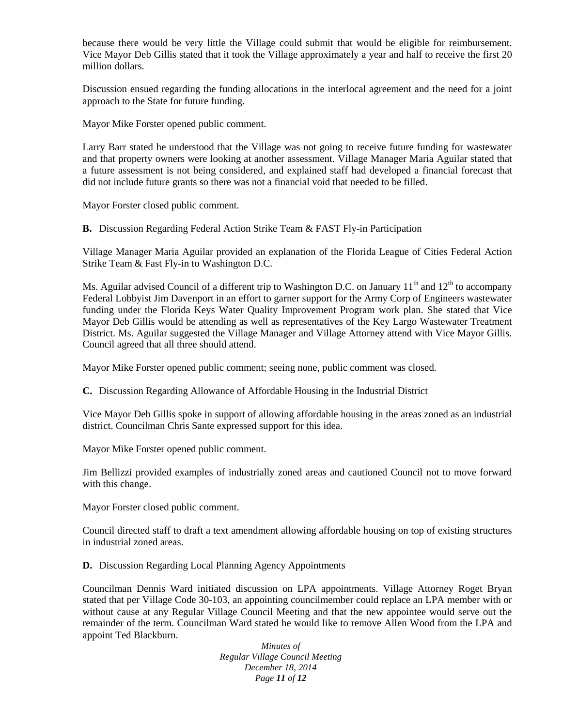because there would be very little the Village could submit that would be eligible for reimbursement. Vice Mayor Deb Gillis stated that it took the Village approximately a year and half to receive the first 20 million dollars.

Discussion ensued regarding the funding allocations in the interlocal agreement and the need for a joint approach to the State for future funding.

Mayor Mike Forster opened public comment.

Larry Barr stated he understood that the Village was not going to receive future funding for wastewater and that property owners were looking at another assessment. Village Manager Maria Aguilar stated that a future assessment is not being considered, and explained staff had developed a financial forecast that did not include future grants so there was not a financial void that needed to be filled.

Mayor Forster closed public comment.

**B.** Discussion Regarding Federal Action Strike Team & FAST Fly-in Participation

Village Manager Maria Aguilar provided an explanation of the Florida League of Cities Federal Action Strike Team & Fast Fly-in to Washington D.C.

Ms. Aguilar advised Council of a different trip to Washington D.C. on January  $11<sup>th</sup>$  and  $12<sup>th</sup>$  to accompany Federal Lobbyist Jim Davenport in an effort to garner support for the Army Corp of Engineers wastewater funding under the Florida Keys Water Quality Improvement Program work plan. She stated that Vice Mayor Deb Gillis would be attending as well as representatives of the Key Largo Wastewater Treatment District. Ms. Aguilar suggested the Village Manager and Village Attorney attend with Vice Mayor Gillis. Council agreed that all three should attend.

Mayor Mike Forster opened public comment; seeing none, public comment was closed.

**C.** Discussion Regarding Allowance of Affordable Housing in the Industrial District

Vice Mayor Deb Gillis spoke in support of allowing affordable housing in the areas zoned as an industrial district. Councilman Chris Sante expressed support for this idea.

Mayor Mike Forster opened public comment.

Jim Bellizzi provided examples of industrially zoned areas and cautioned Council not to move forward with this change.

Mayor Forster closed public comment.

Council directed staff to draft a text amendment allowing affordable housing on top of existing structures in industrial zoned areas.

**D.** Discussion Regarding Local Planning Agency Appointments

Councilman Dennis Ward initiated discussion on LPA appointments. Village Attorney Roget Bryan stated that per Village Code 30-103, an appointing councilmember could replace an LPA member with or without cause at any Regular Village Council Meeting and that the new appointee would serve out the remainder of the term. Councilman Ward stated he would like to remove Allen Wood from the LPA and appoint Ted Blackburn.

> *Minutes of Regular Village Council Meeting December 18, 2014 Page 11 of 12*